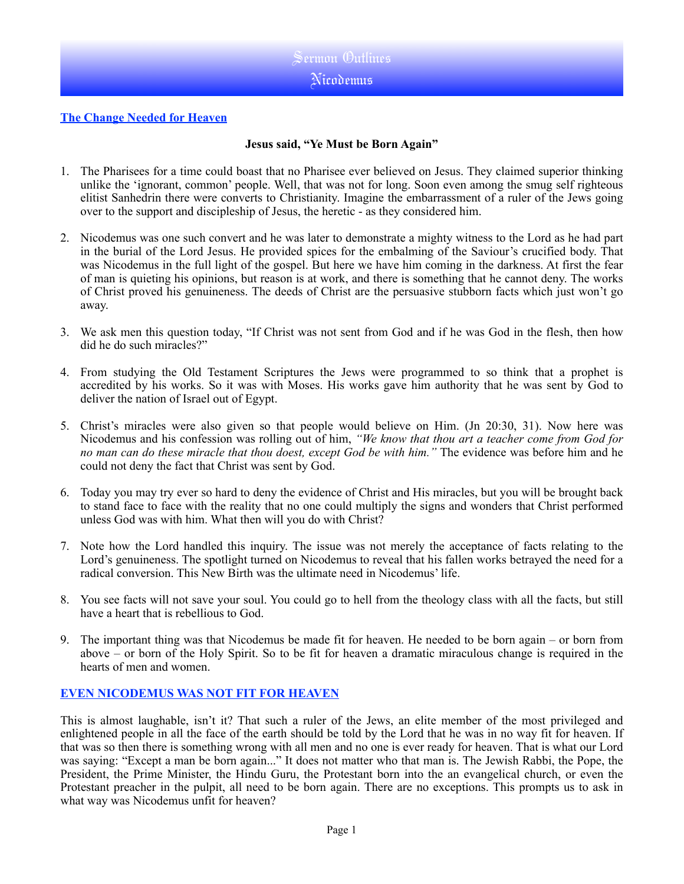### **The Change Needed for Heaven**

## **Jesus said, "Ye Must be Born Again"**

- 1. The Pharisees for a time could boast that no Pharisee ever believed on Jesus. They claimed superior thinking unlike the 'ignorant, common' people. Well, that was not for long. Soon even among the smug self righteous elitist Sanhedrin there were converts to Christianity. Imagine the embarrassment of a ruler of the Jews going over to the support and discipleship of Jesus, the heretic - as they considered him.
- 2. Nicodemus was one such convert and he was later to demonstrate a mighty witness to the Lord as he had part in the burial of the Lord Jesus. He provided spices for the embalming of the Saviour's crucified body. That was Nicodemus in the full light of the gospel. But here we have him coming in the darkness. At first the fear of man is quieting his opinions, but reason is at work, and there is something that he cannot deny. The works of Christ proved his genuineness. The deeds of Christ are the persuasive stubborn facts which just won't go away.
- 3. We ask men this question today, "If Christ was not sent from God and if he was God in the flesh, then how did he do such miracles?"
- 4. From studying the Old Testament Scriptures the Jews were programmed to so think that a prophet is accredited by his works. So it was with Moses. His works gave him authority that he was sent by God to deliver the nation of Israel out of Egypt.
- 5. Christ's miracles were also given so that people would believe on Him. (Jn 20:30, 31). Now here was Nicodemus and his confession was rolling out of him, *"We know that thou art a teacher come from God for no man can do these miracle that thou doest, except God be with him."* The evidence was before him and he could not deny the fact that Christ was sent by God.
- 6. Today you may try ever so hard to deny the evidence of Christ and His miracles, but you will be brought back to stand face to face with the reality that no one could multiply the signs and wonders that Christ performed unless God was with him. What then will you do with Christ?
- 7. Note how the Lord handled this inquiry. The issue was not merely the acceptance of facts relating to the Lord's genuineness. The spotlight turned on Nicodemus to reveal that his fallen works betrayed the need for a radical conversion. This New Birth was the ultimate need in Nicodemus' life.
- 8. You see facts will not save your soul. You could go to hell from the theology class with all the facts, but still have a heart that is rebellious to God.
- 9. The important thing was that Nicodemus be made fit for heaven. He needed to be born again or born from above – or born of the Holy Spirit. So to be fit for heaven a dramatic miraculous change is required in the hearts of men and women.

## **EVEN NICODEMUS WAS NOT FIT FOR HEAVEN**

This is almost laughable, isn't it? That such a ruler of the Jews, an elite member of the most privileged and enlightened people in all the face of the earth should be told by the Lord that he was in no way fit for heaven. If that was so then there is something wrong with all men and no one is ever ready for heaven. That is what our Lord was saying: "Except a man be born again..." It does not matter who that man is. The Jewish Rabbi, the Pope, the President, the Prime Minister, the Hindu Guru, the Protestant born into the an evangelical church, or even the Protestant preacher in the pulpit, all need to be born again. There are no exceptions. This prompts us to ask in what way was Nicodemus unfit for heaven?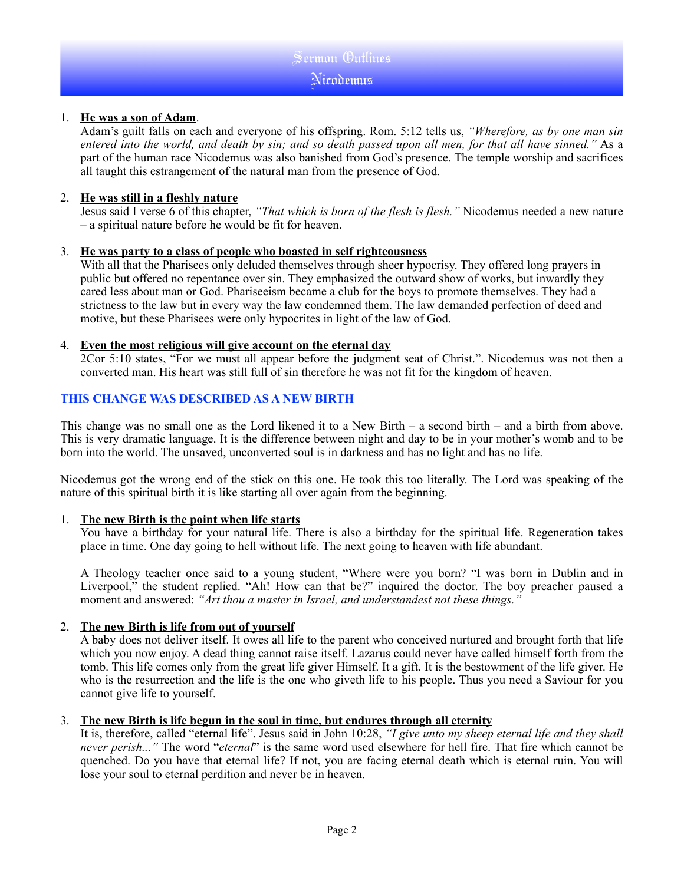# Sermon Outlines Nicodemus

### 1. **He was a son of Adam**.

Adam's guilt falls on each and everyone of his offspring. Rom. 5:12 tells us, *"Wherefore, as by one man sin entered into the world, and death by sin; and so death passed upon all men, for that all have sinned."* As a part of the human race Nicodemus was also banished from God's presence. The temple worship and sacrifices all taught this estrangement of the natural man from the presence of God.

#### 2. **He was still in a fleshly nature**

Jesus said I verse 6 of this chapter, *"That which is born of the flesh is flesh."* Nicodemus needed a new nature – a spiritual nature before he would be fit for heaven.

### 3. **He was party to a class of people who boasted in self righteousness**

With all that the Pharisees only deluded themselves through sheer hypocrisy. They offered long prayers in public but offered no repentance over sin. They emphasized the outward show of works, but inwardly they cared less about man or God. Phariseeism became a club for the boys to promote themselves. They had a strictness to the law but in every way the law condemned them. The law demanded perfection of deed and motive, but these Pharisees were only hypocrites in light of the law of God.

### 4. **Even the most religious will give account on the eternal day**

2Cor 5:10 states, "For we must all appear before the judgment seat of Christ.". Nicodemus was not then a converted man. His heart was still full of sin therefore he was not fit for the kingdom of heaven.

## **THIS CHANGE WAS DESCRIBED AS A NEW BIRTH**

This change was no small one as the Lord likened it to a New Birth – a second birth – and a birth from above. This is very dramatic language. It is the difference between night and day to be in your mother's womb and to be born into the world. The unsaved, unconverted soul is in darkness and has no light and has no life.

Nicodemus got the wrong end of the stick on this one. He took this too literally. The Lord was speaking of the nature of this spiritual birth it is like starting all over again from the beginning.

## 1. **The new Birth is the point when life starts**

You have a birthday for your natural life. There is also a birthday for the spiritual life. Regeneration takes place in time. One day going to hell without life. The next going to heaven with life abundant.

A Theology teacher once said to a young student, "Where were you born? "I was born in Dublin and in Liverpool," the student replied. "Ah! How can that be?" inquired the doctor. The boy preacher paused a moment and answered: *"Art thou a master in Israel, and understandest not these things."* 

## 2. **The new Birth is life from out of yourself**

A baby does not deliver itself. It owes all life to the parent who conceived nurtured and brought forth that life which you now enjoy. A dead thing cannot raise itself. Lazarus could never have called himself forth from the tomb. This life comes only from the great life giver Himself. It a gift. It is the bestowment of the life giver. He who is the resurrection and the life is the one who giveth life to his people. Thus you need a Saviour for you cannot give life to yourself.

## 3. **The new Birth is life begun in the soul in time, but endures through all eternity**

It is, therefore, called "eternal life". Jesus said in John 10:28, *"I give unto my sheep eternal life and they shall never perish..."* The word "*eternal*" is the same word used elsewhere for hell fire. That fire which cannot be quenched. Do you have that eternal life? If not, you are facing eternal death which is eternal ruin. You will lose your soul to eternal perdition and never be in heaven.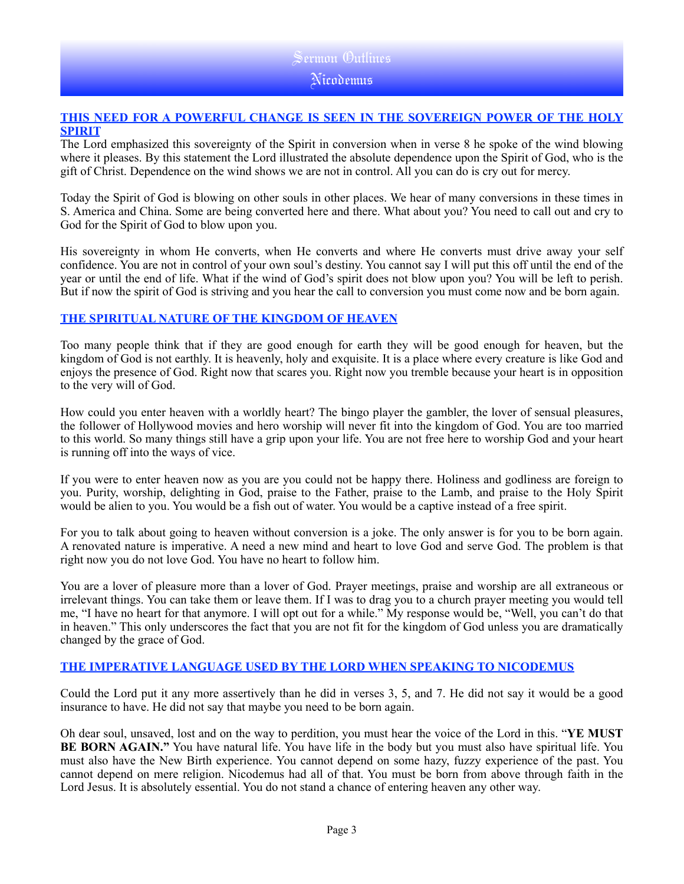# Sermon Outlines Nicodemus

### **THIS NEED FOR A POWERFUL CHANGE IS SEEN IN THE SOVEREIGN POWER OF THE HOLY SPIRIT**

The Lord emphasized this sovereignty of the Spirit in conversion when in verse 8 he spoke of the wind blowing where it pleases. By this statement the Lord illustrated the absolute dependence upon the Spirit of God, who is the gift of Christ. Dependence on the wind shows we are not in control. All you can do is cry out for mercy.

Today the Spirit of God is blowing on other souls in other places. We hear of many conversions in these times in S. America and China. Some are being converted here and there. What about you? You need to call out and cry to God for the Spirit of God to blow upon you.

His sovereignty in whom He converts, when He converts and where He converts must drive away your self confidence. You are not in control of your own soul's destiny. You cannot say I will put this off until the end of the year or until the end of life. What if the wind of God's spirit does not blow upon you? You will be left to perish. But if now the spirit of God is striving and you hear the call to conversion you must come now and be born again.

## **THE SPIRITUAL NATURE OF THE KINGDOM OF HEAVEN**

Too many people think that if they are good enough for earth they will be good enough for heaven, but the kingdom of God is not earthly. It is heavenly, holy and exquisite. It is a place where every creature is like God and enjoys the presence of God. Right now that scares you. Right now you tremble because your heart is in opposition to the very will of God.

How could you enter heaven with a worldly heart? The bingo player the gambler, the lover of sensual pleasures, the follower of Hollywood movies and hero worship will never fit into the kingdom of God. You are too married to this world. So many things still have a grip upon your life. You are not free here to worship God and your heart is running off into the ways of vice.

If you were to enter heaven now as you are you could not be happy there. Holiness and godliness are foreign to you. Purity, worship, delighting in God, praise to the Father, praise to the Lamb, and praise to the Holy Spirit would be alien to you. You would be a fish out of water. You would be a captive instead of a free spirit.

For you to talk about going to heaven without conversion is a joke. The only answer is for you to be born again. A renovated nature is imperative. A need a new mind and heart to love God and serve God. The problem is that right now you do not love God. You have no heart to follow him.

You are a lover of pleasure more than a lover of God. Prayer meetings, praise and worship are all extraneous or irrelevant things. You can take them or leave them. If I was to drag you to a church prayer meeting you would tell me, "I have no heart for that anymore. I will opt out for a while." My response would be, "Well, you can't do that in heaven." This only underscores the fact that you are not fit for the kingdom of God unless you are dramatically changed by the grace of God.

# **THE IMPERATIVE LANGUAGE USED BY THE LORD WHEN SPEAKING TO NICODEMUS**

Could the Lord put it any more assertively than he did in verses 3, 5, and 7. He did not say it would be a good insurance to have. He did not say that maybe you need to be born again.

Oh dear soul, unsaved, lost and on the way to perdition, you must hear the voice of the Lord in this. "**YE MUST BE BORN AGAIN."** You have natural life. You have life in the body but you must also have spiritual life. You must also have the New Birth experience. You cannot depend on some hazy, fuzzy experience of the past. You cannot depend on mere religion. Nicodemus had all of that. You must be born from above through faith in the Lord Jesus. It is absolutely essential. You do not stand a chance of entering heaven any other way.